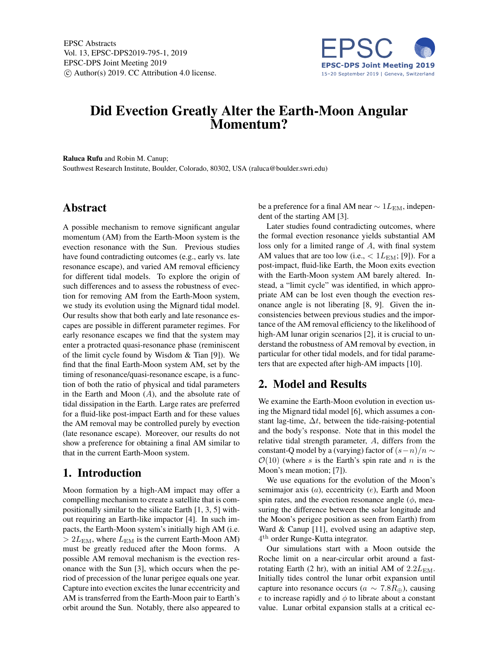

# Did Evection Greatly Alter the Earth-Moon Angular Momentum?

Raluca Rufu and Robin M. Canup;

Southwest Research Institute, Boulder, Colorado, 80302, USA (raluca@boulder.swri.edu)

#### Abstract

A possible mechanism to remove significant angular momentum (AM) from the Earth-Moon system is the evection resonance with the Sun. Previous studies have found contradicting outcomes (e.g., early vs. late resonance escape), and varied AM removal efficiency for different tidal models. To explore the origin of such differences and to assess the robustness of evection for removing AM from the Earth-Moon system, we study its evolution using the Mignard tidal model. Our results show that both early and late resonance escapes are possible in different parameter regimes. For early resonance escapes we find that the system may enter a protracted quasi-resonance phase (reminiscent of the limit cycle found by Wisdom & Tian [9]). We find that the final Earth-Moon system AM, set by the timing of resonance/quasi-resonance escape, is a function of both the ratio of physical and tidal parameters in the Earth and Moon  $(A)$ , and the absolute rate of tidal dissipation in the Earth. Large rates are preferred for a fluid-like post-impact Earth and for these values the AM removal may be controlled purely by evection (late resonance escape). Moreover, our results do not show a preference for obtaining a final AM similar to that in the current Earth-Moon system.

# 1. Introduction

Moon formation by a high-AM impact may offer a compelling mechanism to create a satellite that is compositionally similar to the silicate Earth [1, 3, 5] without requiring an Earth-like impactor [4]. In such impacts, the Earth-Moon system's initially high AM (i.e.  $> 2L_{EM}$ , where  $L_{EM}$  is the current Earth-Moon AM) must be greatly reduced after the Moon forms. A possible AM removal mechanism is the evection resonance with the Sun [3], which occurs when the period of precession of the lunar perigee equals one year. Capture into evection excites the lunar eccentricity and AM is transferred from the Earth-Moon pair to Earth's orbit around the Sun. Notably, there also appeared to be a preference for a final AM near  $\sim 1L_{\text{EM}}$ , independent of the starting AM [3].

Later studies found contradicting outcomes, where the formal evection resonance yields substantial AM loss only for a limited range of A, with final system AM values that are too low (i.e.,  $< 1L_{EM}$ ; [9]). For a post-impact, fluid-like Earth, the Moon exits evection with the Earth-Moon system AM barely altered. Instead, a "limit cycle" was identified, in which appropriate AM can be lost even though the evection resonance angle is not liberating [8, 9]. Given the inconsistencies between previous studies and the importance of the AM removal efficiency to the likelihood of high-AM lunar origin scenarios [2], it is crucial to understand the robustness of AM removal by evection, in particular for other tidal models, and for tidal parameters that are expected after high-AM impacts [10].

## 2. Model and Results

We examine the Earth-Moon evolution in evection using the Mignard tidal model [6], which assumes a constant lag-time,  $\Delta t$ , between the tide-raising-potential and the body's response. Note that in this model the relative tidal strength parameter, A, differs from the constant-Q model by a (varying) factor of  $(s-n)/n \sim$  $\mathcal{O}(10)$  (where s is the Earth's spin rate and n is the Moon's mean motion; [7]).

We use equations for the evolution of the Moon's semimajor axis  $(a)$ , eccentricity  $(e)$ , Earth and Moon spin rates, and the evection resonance angle  $(\phi)$ , measuring the difference between the solar longitude and the Moon's perigee position as seen from Earth) from Ward & Canup [11], evolved using an adaptive step, 4<sup>th</sup> order Runge-Kutta integrator.

Our simulations start with a Moon outside the Roche limit on a near-circular orbit around a fastrotating Earth (2 hr), with an initial AM of  $2.2L_{EM}$ . Initially tides control the lunar orbit expansion until capture into resonance occurs ( $a \sim 7.8R_{\oplus}$ ), causing e to increase rapidly and  $\phi$  to librate about a constant value. Lunar orbital expansion stalls at a critical ec